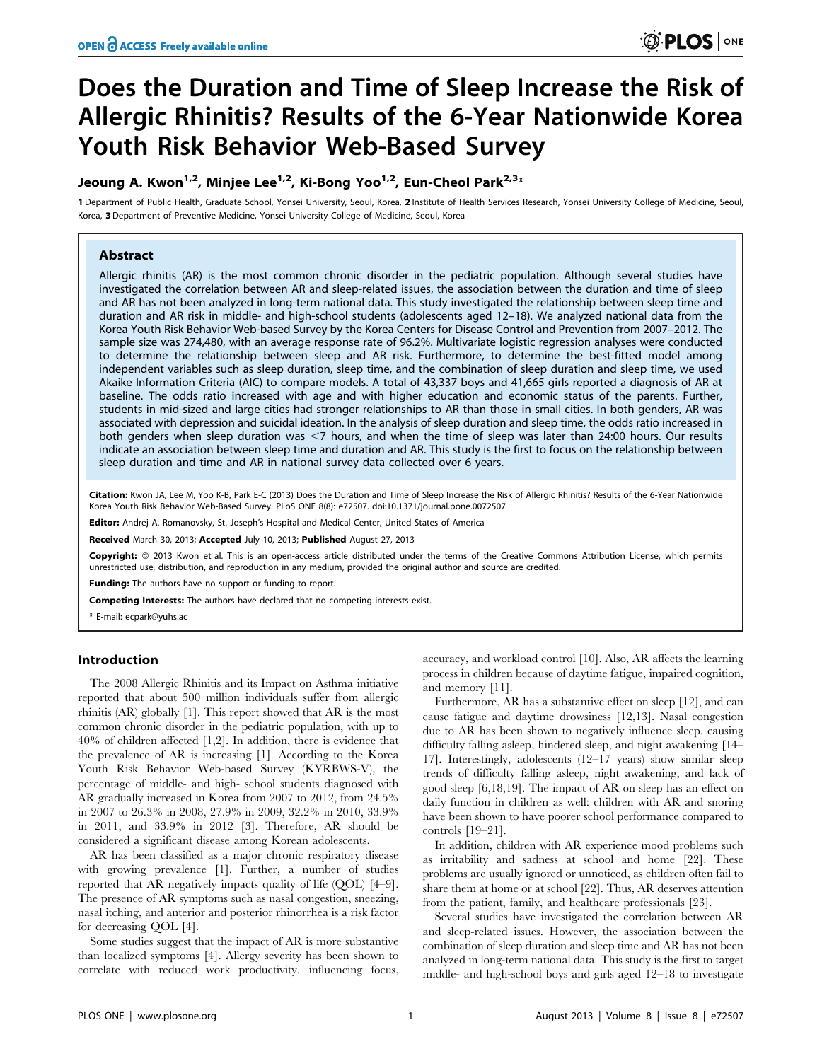# Does the Duration and Time of Sleep Increase the Risk of Allergic Rhinitis? Results of the 6-Year Nationwide Korea Youth Risk Behavior Web-Based Survey

# Jeoung A. Kwon<sup>1,2</sup>, Minjee Lee<sup>1,2</sup>, Ki-Bong Yoo<sup>1,2</sup>, Eun-Cheol Park<sup>2,3\*</sup>

1 Department of Public Health, Graduate School, Yonsei University, Seoul, Korea, 2 Institute of Health Services Research, Yonsei University College of Medicine, Seoul, Korea, 3 Department of Preventive Medicine, Yonsei University College of Medicine, Seoul, Korea

# Abstract

Allergic rhinitis (AR) is the most common chronic disorder in the pediatric population. Although several studies have investigated the correlation between AR and sleep-related issues, the association between the duration and time of sleep and AR has not been analyzed in long-term national data. This study investigated the relationship between sleep time and duration and AR risk in middle- and high-school students (adolescents aged 12–18). We analyzed national data from the Korea Youth Risk Behavior Web-based Survey by the Korea Centers for Disease Control and Prevention from 2007–2012. The sample size was 274,480, with an average response rate of 96.2%. Multivariate logistic regression analyses were conducted to determine the relationship between sleep and AR risk. Furthermore, to determine the best-fitted model among independent variables such as sleep duration, sleep time, and the combination of sleep duration and sleep time, we used Akaike Information Criteria (AIC) to compare models. A total of 43,337 boys and 41,665 girls reported a diagnosis of AR at baseline. The odds ratio increased with age and with higher education and economic status of the parents. Further, students in mid-sized and large cities had stronger relationships to AR than those in small cities. In both genders, AR was associated with depression and suicidal ideation. In the analysis of sleep duration and sleep time, the odds ratio increased in both genders when sleep duration was  $<$ 7 hours, and when the time of sleep was later than 24:00 hours. Our results indicate an association between sleep time and duration and AR. This study is the first to focus on the relationship between sleep duration and time and AR in national survey data collected over 6 years.

Citation: Kwon JA, Lee M, Yoo K-B, Park E-C (2013) Does the Duration and Time of Sleep Increase the Risk of Allergic Rhinitis? Results of the 6-Year Nationwide Korea Youth Risk Behavior Web-Based Survey. PLoS ONE 8(8): e72507. doi:10.1371/journal.pone.0072507

Editor: Andrej A. Romanovsky, St. Joseph's Hospital and Medical Center, United States of America

Received March 30, 2013; Accepted July 10, 2013; Published August 27, 2013

Copyright: © 2013 Kwon et al. This is an open-access article distributed under the terms of the Creative Commons Attribution License, which permits unrestricted use, distribution, and reproduction in any medium, provided the original author and source are credited.

**Funding:** The authors have no support or funding to report.

Competing Interests: The authors have declared that no competing interests exist.

\* E-mail: ecpark@yuhs.ac

#### Introduction

The 2008 Allergic Rhinitis and its Impact on Asthma initiative reported that about 500 million individuals suffer from allergic rhinitis (AR) globally [1]. This report showed that AR is the most common chronic disorder in the pediatric population, with up to 40% of children affected [1,2]. In addition, there is evidence that the prevalence of AR is increasing [1]. According to the Korea Youth Risk Behavior Web-based Survey (KYRBWS-V), the percentage of middle- and high- school students diagnosed with AR gradually increased in Korea from 2007 to 2012, from 24.5% in 2007 to 26.3% in 2008, 27.9% in 2009, 32.2% in 2010, 33.9% in 2011, and 33.9% in 2012 [3]. Therefore, AR should be considered a significant disease among Korean adolescents.

AR has been classified as a major chronic respiratory disease with growing prevalence [1]. Further, a number of studies reported that AR negatively impacts quality of life (QOL) [4–9]. The presence of AR symptoms such as nasal congestion, sneezing, nasal itching, and anterior and posterior rhinorrhea is a risk factor for decreasing QOL [4].

Some studies suggest that the impact of AR is more substantive than localized symptoms [4]. Allergy severity has been shown to correlate with reduced work productivity, influencing focus, accuracy, and workload control [10]. Also, AR affects the learning process in children because of daytime fatigue, impaired cognition, and memory [11].

Furthermore, AR has a substantive effect on sleep [12], and can cause fatigue and daytime drowsiness [12,13]. Nasal congestion due to AR has been shown to negatively influence sleep, causing difficulty falling asleep, hindered sleep, and night awakening [14– 17]. Interestingly, adolescents (12–17 years) show similar sleep trends of difficulty falling asleep, night awakening, and lack of good sleep [6,18,19]. The impact of AR on sleep has an effect on daily function in children as well: children with AR and snoring have been shown to have poorer school performance compared to controls [19–21].

In addition, children with AR experience mood problems such as irritability and sadness at school and home [22]. These problems are usually ignored or unnoticed, as children often fail to share them at home or at school [22]. Thus, AR deserves attention from the patient, family, and healthcare professionals [23].

Several studies have investigated the correlation between AR and sleep-related issues. However, the association between the combination of sleep duration and sleep time and AR has not been analyzed in long-term national data. This study is the first to target middle- and high-school boys and girls aged 12–18 to investigate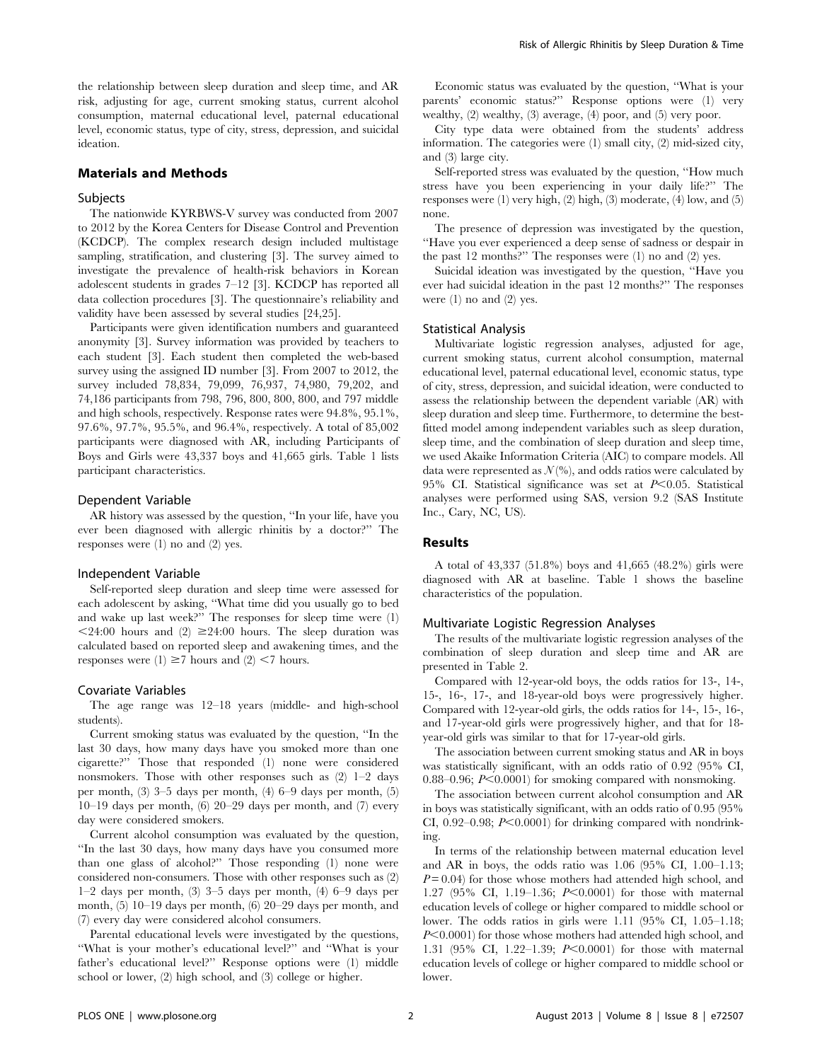the relationship between sleep duration and sleep time, and AR risk, adjusting for age, current smoking status, current alcohol consumption, maternal educational level, paternal educational level, economic status, type of city, stress, depression, and suicidal ideation.

# Materials and Methods

#### Subjects

The nationwide KYRBWS-V survey was conducted from 2007 to 2012 by the Korea Centers for Disease Control and Prevention (KCDCP). The complex research design included multistage sampling, stratification, and clustering [3]. The survey aimed to investigate the prevalence of health-risk behaviors in Korean adolescent students in grades 7–12 [3]. KCDCP has reported all data collection procedures [3]. The questionnaire's reliability and validity have been assessed by several studies [24,25].

Participants were given identification numbers and guaranteed anonymity [3]. Survey information was provided by teachers to each student [3]. Each student then completed the web-based survey using the assigned ID number [3]. From 2007 to 2012, the survey included 78,834, 79,099, 76,937, 74,980, 79,202, and 74,186 participants from 798, 796, 800, 800, 800, and 797 middle and high schools, respectively. Response rates were 94.8%, 95.1%, 97.6%, 97.7%, 95.5%, and 96.4%, respectively. A total of 85,002 participants were diagnosed with AR, including Participants of Boys and Girls were 43,337 boys and 41,665 girls. Table 1 lists participant characteristics.

#### Dependent Variable

AR history was assessed by the question, ''In your life, have you ever been diagnosed with allergic rhinitis by a doctor?'' The responses were (1) no and (2) yes.

#### Independent Variable

Self-reported sleep duration and sleep time were assessed for each adolescent by asking, ''What time did you usually go to bed and wake up last week?'' The responses for sleep time were (1)  $\leq$ 24:00 hours and (2)  $\geq$ 24:00 hours. The sleep duration was calculated based on reported sleep and awakening times, and the responses were (1)  $\geq$ 7 hours and (2) <7 hours.

#### Covariate Variables

The age range was 12–18 years (middle- and high-school students).

Current smoking status was evaluated by the question, ''In the last 30 days, how many days have you smoked more than one cigarette?'' Those that responded (1) none were considered nonsmokers. Those with other responses such as (2) 1–2 days per month, (3) 3–5 days per month, (4) 6–9 days per month, (5) 10–19 days per month, (6) 20–29 days per month, and (7) every day were considered smokers.

Current alcohol consumption was evaluated by the question, ''In the last 30 days, how many days have you consumed more than one glass of alcohol?'' Those responding (1) none were considered non-consumers. Those with other responses such as (2) 1–2 days per month, (3) 3–5 days per month, (4) 6–9 days per month, (5) 10–19 days per month, (6) 20–29 days per month, and (7) every day were considered alcohol consumers.

Parental educational levels were investigated by the questions, ''What is your mother's educational level?'' and ''What is your father's educational level?'' Response options were (1) middle school or lower, (2) high school, and (3) college or higher.

Economic status was evaluated by the question, ''What is your parents' economic status?'' Response options were (1) very wealthy, (2) wealthy, (3) average, (4) poor, and (5) very poor.

City type data were obtained from the students' address information. The categories were (1) small city, (2) mid-sized city, and (3) large city.

Self-reported stress was evaluated by the question, ''How much stress have you been experiencing in your daily life?'' The responses were (1) very high, (2) high, (3) moderate, (4) low, and (5) none.

The presence of depression was investigated by the question, ''Have you ever experienced a deep sense of sadness or despair in the past 12 months?'' The responses were (1) no and (2) yes.

Suicidal ideation was investigated by the question, ''Have you ever had suicidal ideation in the past 12 months?'' The responses were  $(1)$  no and  $(2)$  yes.

# Statistical Analysis

Multivariate logistic regression analyses, adjusted for age, current smoking status, current alcohol consumption, maternal educational level, paternal educational level, economic status, type of city, stress, depression, and suicidal ideation, were conducted to assess the relationship between the dependent variable (AR) with sleep duration and sleep time. Furthermore, to determine the bestfitted model among independent variables such as sleep duration, sleep time, and the combination of sleep duration and sleep time, we used Akaike Information Criteria (AIC) to compare models. All data were represented as  $\mathcal{N}(\%)$ , and odds ratios were calculated by 95% CI. Statistical significance was set at  $P<0.05$ . Statistical analyses were performed using SAS, version 9.2 (SAS Institute Inc., Cary, NC, US).

# Results

A total of 43,337 (51.8%) boys and 41,665 (48.2%) girls were diagnosed with AR at baseline. Table 1 shows the baseline characteristics of the population.

### Multivariate Logistic Regression Analyses

The results of the multivariate logistic regression analyses of the combination of sleep duration and sleep time and AR are presented in Table 2.

Compared with 12-year-old boys, the odds ratios for 13-, 14-, 15-, 16-, 17-, and 18-year-old boys were progressively higher. Compared with 12-year-old girls, the odds ratios for 14-, 15-, 16-, and 17-year-old girls were progressively higher, and that for 18 year-old girls was similar to that for 17-year-old girls.

The association between current smoking status and AR in boys was statistically significant, with an odds ratio of 0.92 (95% CI, 0.88–0.96;  $P<0.0001$  for smoking compared with nonsmoking.

The association between current alcohol consumption and AR in boys was statistically significant, with an odds ratio of 0.95 (95% CI, 0.92–0.98;  $P<0.0001$ ) for drinking compared with nondrinking.

In terms of the relationship between maternal education level and AR in boys, the odds ratio was 1.06 (95% CI, 1.00–1.13;  $P = 0.04$ ) for those whose mothers had attended high school, and 1.27 (95% CI, 1.19-1.36;  $P<0.0001$ ) for those with maternal education levels of college or higher compared to middle school or lower. The odds ratios in girls were 1.11 (95% CI, 1.05–1.18;  $P<0.0001$ ) for those whose mothers had attended high school, and 1.31 (95% CI, 1.22-1.39;  $P<0.0001$ ) for those with maternal education levels of college or higher compared to middle school or lower.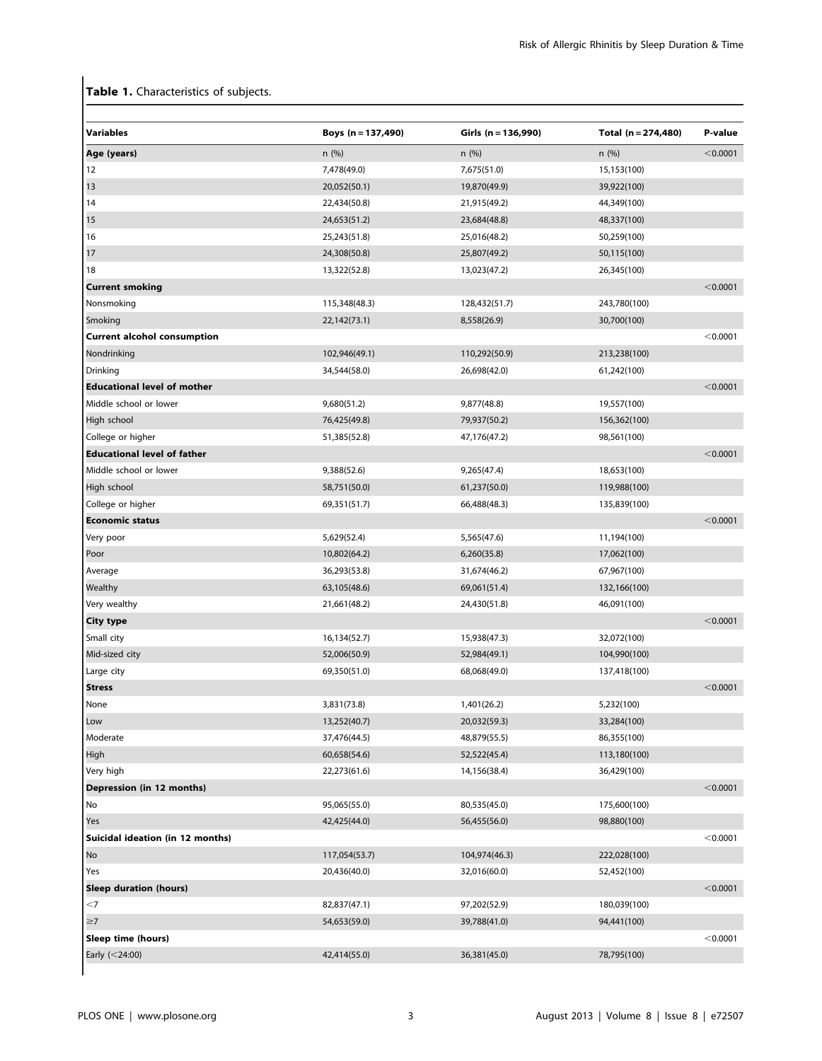# Table 1. Characteristics of subjects.

| Boys $(n = 137,490)$ | Girls (n = 136,990) | Total (n = 274,480) | P-value    |
|----------------------|---------------------|---------------------|------------|
| n(%)                 | n(%)                | n(%)                | $<$ 0.0001 |
| 7,478(49.0)          | 7,675(51.0)         | 15,153(100)         |            |
| 20,052(50.1)         | 19,870(49.9)        | 39,922(100)         |            |
| 22,434(50.8)         | 21,915(49.2)        | 44,349(100)         |            |
| 24,653(51.2)         | 23,684(48.8)        | 48,337(100)         |            |
| 25,243(51.8)         | 25,016(48.2)        | 50,259(100)         |            |
| 24,308(50.8)         | 25,807(49.2)        | 50,115(100)         |            |
| 13,322(52.8)         | 13,023(47.2)        | 26,345(100)         |            |
|                      |                     |                     | < 0.0001   |
| 115,348(48.3)        | 128,432(51.7)       | 243,780(100)        |            |
| 22,142(73.1)         | 8,558(26.9)         | 30,700(100)         |            |
|                      |                     |                     | < 0.0001   |
| 102,946(49.1)        | 110,292(50.9)       | 213,238(100)        |            |
| 34,544(58.0)         | 26,698(42.0)        | 61,242(100)         |            |
|                      |                     |                     | < 0.0001   |
| 9,680(51.2)          | 9,877(48.8)         | 19,557(100)         |            |
| 76,425(49.8)         | 79,937(50.2)        | 156,362(100)        |            |
| 51,385(52.8)         | 47,176(47.2)        | 98,561(100)         |            |
|                      |                     |                     | < 0.0001   |
| 9,388(52.6)          | 9,265(47.4)         | 18,653(100)         |            |
| 58,751(50.0)         | 61,237(50.0)        | 119,988(100)        |            |
| 69,351(51.7)         | 66,488(48.3)        | 135,839(100)        |            |
|                      |                     |                     | < 0.0001   |
| 5,629(52.4)          | 5,565(47.6)         | 11,194(100)         |            |
| 10,802(64.2)         | 6,260(35.8)         | 17,062(100)         |            |
| 36,293(53.8)         | 31,674(46.2)        | 67,967(100)         |            |
| 63,105(48.6)         | 69,061(51.4)        | 132,166(100)        |            |
| 21,661(48.2)         | 24,430(51.8)        | 46,091(100)         |            |
|                      |                     |                     | < 0.0001   |
| 16,134(52.7)         | 15,938(47.3)        | 32,072(100)         |            |
| 52,006(50.9)         | 52,984(49.1)        | 104,990(100)        |            |
| 69,350(51.0)         | 68,068(49.0)        | 137,418(100)        |            |
|                      |                     |                     | < 0.0001   |
| 3,831(73.8)          | 1,401(26.2)         | 5,232(100)          |            |
| 13,252(40.7)         | 20,032(59.3)        | 33,284(100)         |            |
| 37,476(44.5)         | 48,879(55.5)        | 86,355(100)         |            |
| 60,658(54.6)         | 52,522(45.4)        | 113,180(100)        |            |
| 22,273(61.6)         | 14,156(38.4)        | 36,429(100)         |            |
|                      |                     |                     | < 0.0001   |
| 95,065(55.0)         | 80,535(45.0)        | 175,600(100)        |            |
| 42,425(44.0)         | 56,455(56.0)        | 98,880(100)         |            |
|                      |                     |                     | < 0.0001   |
| 117,054(53.7)        | 104,974(46.3)       | 222,028(100)        |            |
| 20,436(40.0)         | 32,016(60.0)        | 52,452(100)         |            |
|                      |                     |                     | < 0.0001   |
| 82,837(47.1)         | 97,202(52.9)        | 180,039(100)        |            |
| 54,653(59.0)         | 39,788(41.0)        | 94,441(100)         |            |
|                      |                     |                     | $<$ 0.0001 |
| 42,414(55.0)         | 36,381(45.0)        | 78,795(100)         |            |
|                      |                     |                     |            |
|                      |                     |                     |            |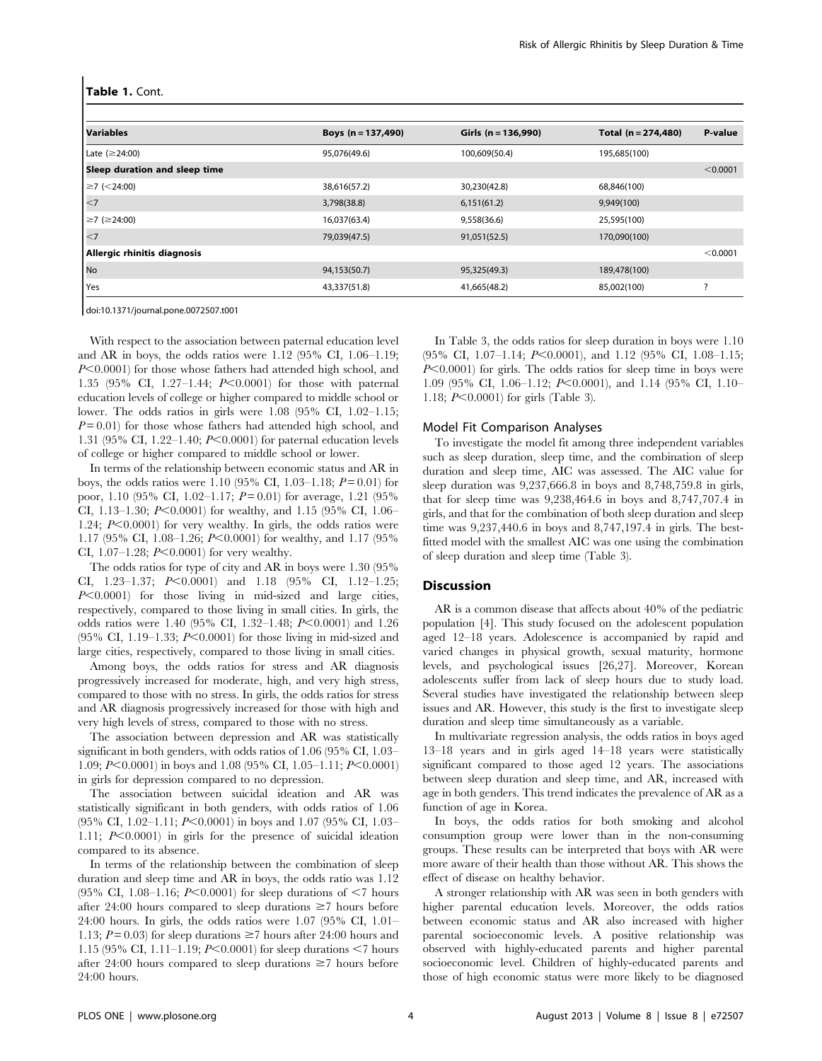| <b>Variables</b>              | Boys $(n = 137,490)$ | Girls ( $n = 136,990$ ) | Total $(n = 274,480)$ | P-value  |
|-------------------------------|----------------------|-------------------------|-----------------------|----------|
| Late $(\geq 24:00)$           | 95,076(49.6)         | 100,609(50.4)           | 195,685(100)          |          |
| Sleep duration and sleep time |                      |                         |                       | < 0.0001 |
| $\geq$ 7 (<24:00)             | 38,616(57.2)         | 30,230(42.8)            | 68,846(100)           |          |
| $\leq$                        | 3,798(38.8)          | 6,151(61.2)             | 9,949(100)            |          |
| $\geq$ 7 (≥24:00)             | 16,037(63.4)         | 9,558(36.6)             | 25,595(100)           |          |
| $\vert$ <7                    | 79,039(47.5)         | 91,051(52.5)            | 170,090(100)          |          |
| Allergic rhinitis diagnosis   |                      |                         |                       | < 0.0001 |
| No                            | 94,153(50.7)         | 95,325(49.3)            | 189,478(100)          |          |
| <b>Yes</b>                    | 43,337(51.8)         | 41,665(48.2)            | 85,002(100)           |          |
|                               |                      |                         |                       |          |

doi:10.1371/journal.pone.0072507.t001

With respect to the association between paternal education level and AR in boys, the odds ratios were 1.12 (95% CI, 1.06–1.19;  $P<0.0001$ ) for those whose fathers had attended high school, and 1.35 (95% CI, 1.27-1.44;  $P<0.0001$ ) for those with paternal education levels of college or higher compared to middle school or lower. The odds ratios in girls were 1.08 (95% CI, 1.02–1.15;  $P = 0.01$ ) for those whose fathers had attended high school, and 1.31 (95% CI, 1.22–1.40;  $P \le 0.0001$ ) for paternal education levels of college or higher compared to middle school or lower.

In terms of the relationship between economic status and AR in boys, the odds ratios were 1.10 (95% CI, 1.03–1.18;  $P = 0.01$ ) for poor, 1.10 (95% CI, 1.02–1.17;  $P = 0.01$ ) for average, 1.21 (95% CI, 1.13–1.30;  $P \le 0.0001$ ) for wealthy, and 1.15 (95% CI, 1.06– 1.24;  $P<0.0001$ ) for very wealthy. In girls, the odds ratios were 1.17 (95% CI, 1.08–1.26;  $P \le 0.0001$ ) for wealthy, and 1.17 (95% CI, 1.07-1.28;  $P<0.0001$ ) for very wealthy.

The odds ratios for type of city and AR in boys were 1.30 (95% CI, 1.23-1.37;  $P \le 0.0001$  and 1.18 (95% CI, 1.12-1.25;  $P<0.0001$ ) for those living in mid-sized and large cities, respectively, compared to those living in small cities. In girls, the odds ratios were 1.40 (95% CI, 1.32-1.48;  $P<0.0001$ ) and 1.26 (95% CI, 1.19-1.33;  $P<0.0001$ ) for those living in mid-sized and large cities, respectively, compared to those living in small cities.

Among boys, the odds ratios for stress and AR diagnosis progressively increased for moderate, high, and very high stress, compared to those with no stress. In girls, the odds ratios for stress and AR diagnosis progressively increased for those with high and very high levels of stress, compared to those with no stress.

The association between depression and AR was statistically significant in both genders, with odds ratios of 1.06 (95% CI, 1.03– 1.09; P<0.0001) in boys and 1.08 (95% CI, 1.05–1.11; P<0.0001) in girls for depression compared to no depression.

The association between suicidal ideation and AR was statistically significant in both genders, with odds ratios of 1.06  $(95\% \text{ CI}, 1.02-1.11; P<0.0001)$  in boys and 1.07 (95% CI, 1.03– 1.11;  $P<0.0001$ ) in girls for the presence of suicidal ideation compared to its absence.

In terms of the relationship between the combination of sleep duration and sleep time and AR in boys, the odds ratio was 1.12  $(95\% \text{ CI}, 1.08-1.16; P<0.0001)$  for sleep durations of  $\leq 7$  hours after 24:00 hours compared to sleep durations  $\geq 7$  hours before 24:00 hours. In girls, the odds ratios were 1.07 (95% CI, 1.01– 1.13;  $P = 0.03$  for sleep durations  $\geq 7$  hours after 24:00 hours and 1.15 (95% CI, 1.11–1.19;  $P<0.0001$ ) for sleep durations  $<$ 7 hours after 24:00 hours compared to sleep durations  $\geq 7$  hours before  $24:00$  hours.

In Table 3, the odds ratios for sleep duration in boys were 1.10  $(95\% \text{ CI}, 1.07-1.14; P<0.0001), \text{ and } 1.12 \ (95\% \text{ CI}, 1.08-1.15;$  $P<0.0001$ ) for girls. The odds ratios for sleep time in boys were 1.09 (95% CI, 1.06–1.12;  $P \le 0.0001$ ), and 1.14 (95% CI, 1.10– 1.18;  $P<0.0001$ ) for girls (Table 3).

### Model Fit Comparison Analyses

To investigate the model fit among three independent variables such as sleep duration, sleep time, and the combination of sleep duration and sleep time, AIC was assessed. The AIC value for sleep duration was 9,237,666.8 in boys and 8,748,759.8 in girls, that for sleep time was 9,238,464.6 in boys and 8,747,707.4 in girls, and that for the combination of both sleep duration and sleep time was 9,237,440.6 in boys and 8,747,197.4 in girls. The bestfitted model with the smallest AIC was one using the combination of sleep duration and sleep time (Table 3).

# **Discussion**

AR is a common disease that affects about 40% of the pediatric population [4]. This study focused on the adolescent population aged 12–18 years. Adolescence is accompanied by rapid and varied changes in physical growth, sexual maturity, hormone levels, and psychological issues [26,27]. Moreover, Korean adolescents suffer from lack of sleep hours due to study load. Several studies have investigated the relationship between sleep issues and AR. However, this study is the first to investigate sleep duration and sleep time simultaneously as a variable.

In multivariate regression analysis, the odds ratios in boys aged 13–18 years and in girls aged 14–18 years were statistically significant compared to those aged 12 years. The associations between sleep duration and sleep time, and AR, increased with age in both genders. This trend indicates the prevalence of AR as a function of age in Korea.

In boys, the odds ratios for both smoking and alcohol consumption group were lower than in the non-consuming groups. These results can be interpreted that boys with AR were more aware of their health than those without AR. This shows the effect of disease on healthy behavior.

A stronger relationship with AR was seen in both genders with higher parental education levels. Moreover, the odds ratios between economic status and AR also increased with higher parental socioeconomic levels. A positive relationship was observed with highly-educated parents and higher parental socioeconomic level. Children of highly-educated parents and those of high economic status were more likely to be diagnosed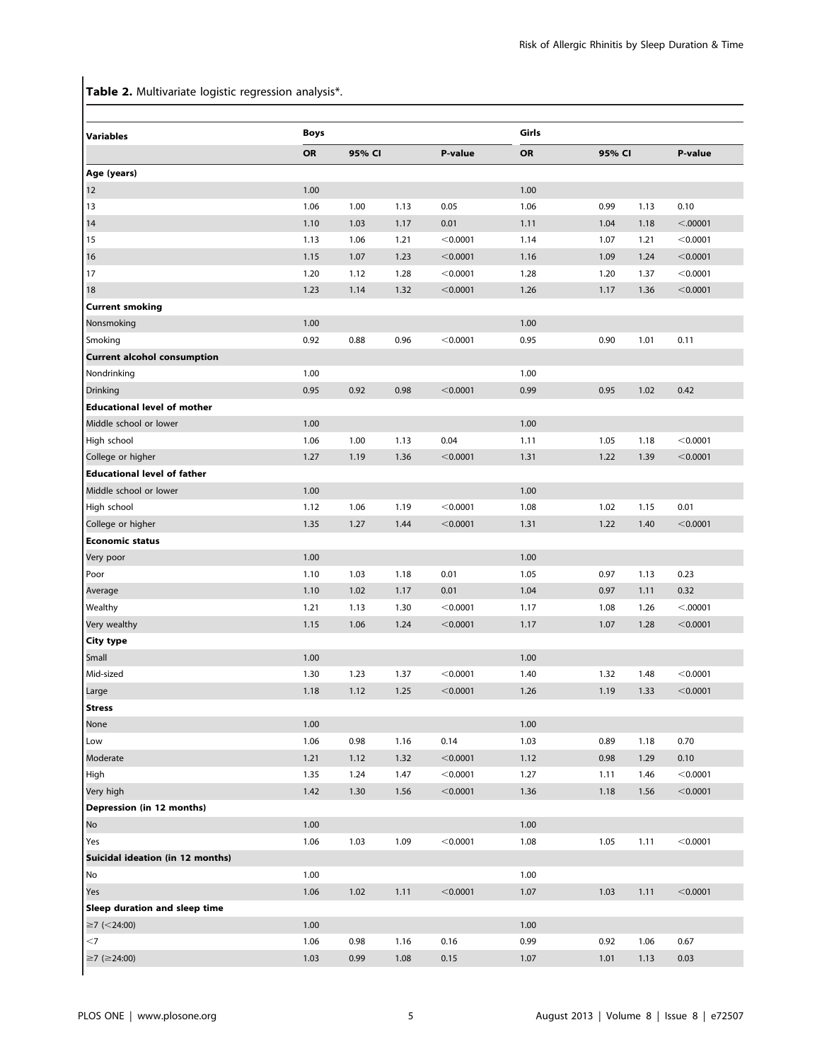Table 2. Multivariate logistic regression analysis\*.

| <b>Variables</b>                   | <b>Boys</b> |        |      |            | Girls |      |        |          |
|------------------------------------|-------------|--------|------|------------|-------|------|--------|----------|
|                                    | OR          | 95% CI |      | P-value    | OR    |      | 95% CI |          |
| Age (years)                        |             |        |      |            |       |      |        |          |
| 12                                 | 1.00        |        |      |            | 1.00  |      |        |          |
| 13                                 | 1.06        | 1.00   | 1.13 | 0.05       | 1.06  | 0.99 | 1.13   | 0.10     |
| 14                                 | 1.10        | 1.03   | 1.17 | 0.01       | 1.11  | 1.04 | 1.18   | < .00001 |
| 15                                 | 1.13        | 1.06   | 1.21 | < 0.0001   | 1.14  | 1.07 | 1.21   | < 0.0001 |
| 16                                 | 1.15        | 1.07   | 1.23 | $<$ 0.0001 | 1.16  | 1.09 | 1.24   | < 0.0001 |
| 17                                 | 1.20        | 1.12   | 1.28 | < 0.0001   | 1.28  | 1.20 | 1.37   | < 0.0001 |
| 18                                 | 1.23        | 1.14   | 1.32 | $<$ 0.0001 | 1.26  | 1.17 | 1.36   | < 0.0001 |
| <b>Current smoking</b>             |             |        |      |            |       |      |        |          |
| Nonsmoking                         | 1.00        |        |      |            | 1.00  |      |        |          |
| Smoking                            | 0.92        | 0.88   | 0.96 | < 0.0001   | 0.95  | 0.90 | 1.01   | 0.11     |
| <b>Current alcohol consumption</b> |             |        |      |            |       |      |        |          |
| Nondrinking                        | 1.00        |        |      |            | 1.00  |      |        |          |
| <b>Drinking</b>                    | 0.95        | 0.92   | 0.98 | < 0.0001   | 0.99  | 0.95 | 1.02   | 0.42     |
| <b>Educational level of mother</b> |             |        |      |            |       |      |        |          |
| Middle school or lower             | 1.00        |        |      |            | 1.00  |      |        |          |
| High school                        | 1.06        | 1.00   | 1.13 | 0.04       | 1.11  | 1.05 | 1.18   | < 0.0001 |
| College or higher                  | 1.27        | 1.19   | 1.36 | $<$ 0.0001 | 1.31  | 1.22 | 1.39   | < 0.0001 |
| <b>Educational level of father</b> |             |        |      |            |       |      |        |          |
| Middle school or lower             | 1.00        |        |      |            | 1.00  |      |        |          |
| High school                        | 1.12        | 1.06   | 1.19 | < 0.0001   | 1.08  | 1.02 | 1.15   | 0.01     |
| College or higher                  | 1.35        | 1.27   | 1.44 | < 0.0001   | 1.31  | 1.22 | 1.40   | < 0.0001 |
| <b>Economic status</b>             |             |        |      |            |       |      |        |          |
| Very poor                          | 1.00        |        |      |            | 1.00  |      |        |          |
| Poor                               | 1.10        | 1.03   | 1.18 | 0.01       | 1.05  | 0.97 | 1.13   | 0.23     |
| Average                            | 1.10        | 1.02   | 1.17 | 0.01       | 1.04  | 0.97 | 1.11   | 0.32     |
| Wealthy                            | 1.21        | 1.13   | 1.30 | $<$ 0.0001 | 1.17  | 1.08 | 1.26   | < .00001 |
| Very wealthy                       | 1.15        | 1.06   | 1.24 | < 0.0001   | 1.17  | 1.07 | 1.28   | < 0.0001 |
| City type                          |             |        |      |            |       |      |        |          |
| Small                              | 1.00        |        |      |            | 1.00  |      |        |          |
| Mid-sized                          | 1.30        | 1.23   | 1.37 | < 0.0001   | 1.40  | 1.32 | 1.48   | < 0.0001 |
| Large                              | 1.18        | 1.12   | 1.25 | < 0.0001   | 1.26  | 1.19 | 1.33   | < 0.0001 |
| <b>Stress</b>                      |             |        |      |            |       |      |        |          |
| None                               | 1.00        |        |      |            | 1.00  |      |        |          |
| Low                                | 1.06        | 0.98   | 1.16 | 0.14       | 1.03  | 0.89 | 1.18   | 0.70     |
| Moderate                           | 1.21        | 1.12   | 1.32 | < 0.0001   | 1.12  | 0.98 | 1.29   | 0.10     |
| High                               | 1.35        | 1.24   | 1.47 | < 0.0001   | 1.27  | 1.11 | 1.46   | < 0.0001 |
| Very high                          | 1.42        | 1.30   | 1.56 | < 0.0001   | 1.36  | 1.18 | 1.56   | < 0.0001 |
| Depression (in 12 months)          |             |        |      |            |       |      |        |          |
| No                                 | 1.00        |        |      |            | 1.00  |      |        |          |
| Yes                                | 1.06        | 1.03   | 1.09 | < 0.0001   | 1.08  | 1.05 | 1.11   | < 0.0001 |
| Suicidal ideation (in 12 months)   |             |        |      |            |       |      |        |          |
| No                                 | 1.00        |        |      |            | 1.00  |      |        |          |
| Yes                                | 1.06        | 1.02   | 1.11 | < 0.0001   | 1.07  | 1.03 | 1.11   | < 0.0001 |
| Sleep duration and sleep time      |             |        |      |            |       |      |        |          |
| $≥7$ (<24:00)                      | 1.00        |        |      |            | 1.00  |      |        |          |
| $<$ 7                              | 1.06        | 0.98   | 1.16 | 0.16       | 0.99  | 0.92 | 1.06   | 0.67     |
| ≥7 (≥24:00)                        | 1.03        | 0.99   | 1.08 | 0.15       | 1.07  | 1.01 | 1.13   | 0.03     |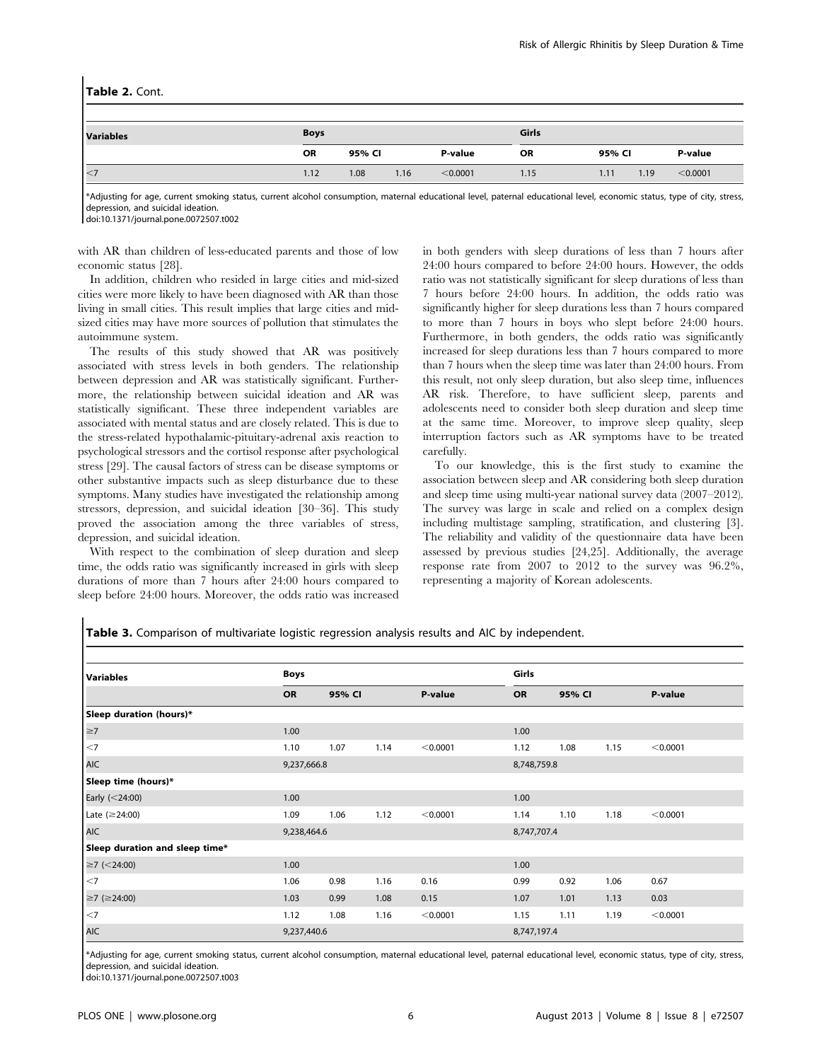#### Table 2. Cont.

| <b>Variables</b> | <b>Boys</b> |        |      |          | Girls     |        |      |          |
|------------------|-------------|--------|------|----------|-----------|--------|------|----------|
|                  | <b>OR</b>   | 95% CI |      | P-value  | <b>OR</b> | 95% CI |      | P-value  |
| $\leq$           | 1.12        | 1.08   | 1.16 | < 0.0001 | 1.15      | 1.11   | 1.19 | < 0.0001 |

\*Adjusting for age, current smoking status, current alcohol consumption, maternal educational level, paternal educational level, economic status, type of city, stress, depression, and suicidal ideation.

doi:10.1371/journal.pone.0072507.t002

with AR than children of less-educated parents and those of low economic status [28].

In addition, children who resided in large cities and mid-sized cities were more likely to have been diagnosed with AR than those living in small cities. This result implies that large cities and midsized cities may have more sources of pollution that stimulates the autoimmune system.

The results of this study showed that AR was positively associated with stress levels in both genders. The relationship between depression and AR was statistically significant. Furthermore, the relationship between suicidal ideation and AR was statistically significant. These three independent variables are associated with mental status and are closely related. This is due to the stress-related hypothalamic-pituitary-adrenal axis reaction to psychological stressors and the cortisol response after psychological stress [29]. The causal factors of stress can be disease symptoms or other substantive impacts such as sleep disturbance due to these symptoms. Many studies have investigated the relationship among stressors, depression, and suicidal ideation [30–36]. This study proved the association among the three variables of stress, depression, and suicidal ideation.

With respect to the combination of sleep duration and sleep time, the odds ratio was significantly increased in girls with sleep durations of more than 7 hours after 24:00 hours compared to sleep before 24:00 hours. Moreover, the odds ratio was increased in both genders with sleep durations of less than 7 hours after 24:00 hours compared to before 24:00 hours. However, the odds ratio was not statistically significant for sleep durations of less than 7 hours before 24:00 hours. In addition, the odds ratio was significantly higher for sleep durations less than 7 hours compared to more than 7 hours in boys who slept before 24:00 hours. Furthermore, in both genders, the odds ratio was significantly increased for sleep durations less than 7 hours compared to more than 7 hours when the sleep time was later than 24:00 hours. From this result, not only sleep duration, but also sleep time, influences AR risk. Therefore, to have sufficient sleep, parents and adolescents need to consider both sleep duration and sleep time at the same time. Moreover, to improve sleep quality, sleep interruption factors such as AR symptoms have to be treated carefully.

To our knowledge, this is the first study to examine the association between sleep and AR considering both sleep duration and sleep time using multi-year national survey data (2007–2012). The survey was large in scale and relied on a complex design including multistage sampling, stratification, and clustering [3]. The reliability and validity of the questionnaire data have been assessed by previous studies [24,25]. Additionally, the average response rate from 2007 to 2012 to the survey was 96.2%, representing a majority of Korean adolescents.

Table 3. Comparison of multivariate logistic regression analysis results and AIC by independent.

| <b>Variables</b>               | Boys        |        |      |          |             | Girls  |      |          |  |
|--------------------------------|-------------|--------|------|----------|-------------|--------|------|----------|--|
|                                | OR          | 95% CI |      | P-value  | <b>OR</b>   | 95% CI |      | P-value  |  |
| Sleep duration (hours)*        |             |        |      |          |             |        |      |          |  |
| $\geq$                         | 1.00        |        |      |          | 1.00        |        |      |          |  |
| $\leq$ 7                       | 1.10        | 1.07   | 1.14 | < 0.0001 | 1.12        | 1.08   | 1.15 | < 0.0001 |  |
| AIC                            | 9,237,666.8 |        |      |          | 8,748,759.8 |        |      |          |  |
| Sleep time (hours)*            |             |        |      |          |             |        |      |          |  |
| Early $(<$ 24:00)              | 1.00        |        |      |          | 1.00        |        |      |          |  |
| Late ( $\geq$ 24:00)           | 1.09        | 1.06   | 1.12 | < 0.0001 | 1.14        | 1.10   | 1.18 | < 0.0001 |  |
| <b>AIC</b>                     | 9,238,464.6 |        |      |          | 8,747,707.4 |        |      |          |  |
| Sleep duration and sleep time* |             |        |      |          |             |        |      |          |  |
| $≥7$ (<24:00)                  | 1.00        |        |      |          | 1.00        |        |      |          |  |
| $\leq$ 7                       | 1.06        | 0.98   | 1.16 | 0.16     | 0.99        | 0.92   | 1.06 | 0.67     |  |
| $≥7 (=24:00)$                  | 1.03        | 0.99   | 1.08 | 0.15     | 1.07        | 1.01   | 1.13 | 0.03     |  |
| $\leq$ 7                       | 1.12        | 1.08   | 1.16 | < 0.0001 | 1.15        | 1.11   | 1.19 | < 0.0001 |  |
| <b>AIC</b>                     | 9,237,440.6 |        |      |          | 8,747,197.4 |        |      |          |  |

\*Adjusting for age, current smoking status, current alcohol consumption, maternal educational level, paternal educational level, economic status, type of city, stress, depression, and suicidal ideation.

doi:10.1371/journal.pone.0072507.t003